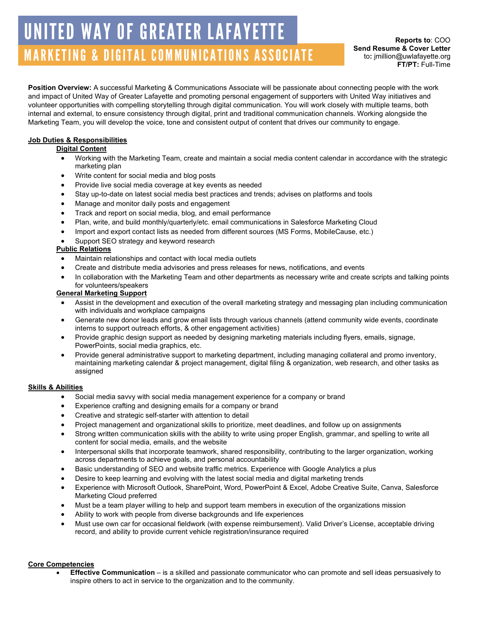# MARKETING & DIGITAL COMMUNICATIONS ASSOCIATE UNITED WAY OF GREATER LAFAYETTE

**Position Overview:** A successful Marketing & Communications Associate will be passionate about connecting people with the work and impact of United Way of Greater Lafayette and promoting personal engagement of supporters with United Way initiatives and volunteer opportunities with compelling storytelling through digital communication. You will work closely with multiple teams, both internal and external, to ensure consistency through digital, print and traditional communication channels. Working alongside the Marketing Team, you will develop the voice, tone and consistent output of content that drives our community to engage.

## **Job Duties & Responsibilities**

## **Digital Content**

- Working with the Marketing Team, create and maintain a social media content calendar in accordance with the strategic marketing plan
- Write content for social media and blog posts
- Provide live social media coverage at key events as needed
- Stay up-to-date on latest social media best practices and trends; advises on platforms and tools
- Manage and monitor daily posts and engagement
- Track and report on social media, blog, and email performance
- Plan, write, and build monthly/quarterly/etc. email communications in Salesforce Marketing Cloud
- Import and export contact lists as needed from different sources (MS Forms, MobileCause, etc.)
- Support SEO strategy and keyword research

## **Public Relations**

- Maintain relationships and contact with local media outlets
- Create and distribute media advisories and press releases for news, notifications, and events
- In collaboration with the Marketing Team and other departments as necessary write and create scripts and talking points for volunteers/speakers

### **General Marketing Support**

- Assist in the development and execution of the overall marketing strategy and messaging plan including communication with individuals and workplace campaigns
- Generate new donor leads and grow email lists through various channels (attend community wide events, coordinate interns to support outreach efforts, & other engagement activities)
- Provide graphic design support as needed by designing marketing materials including flyers, emails, signage, PowerPoints, social media graphics, etc.
- Provide general administrative support to marketing department, including managing collateral and promo inventory, maintaining marketing calendar & project management, digital filing & organization, web research, and other tasks as assigned

### **Skills & Abilities**

- Social media savvy with social media management experience for a company or brand
- Experience crafting and designing emails for a company or brand
- Creative and strategic self-starter with attention to detail
- Project management and organizational skills to prioritize, meet deadlines, and follow up on assignments
- Strong written communication skills with the ability to write using proper English, grammar, and spelling to write all content for social media, emails, and the website
- Interpersonal skills that incorporate teamwork, shared responsibility, contributing to the larger organization, working across departments to achieve goals, and personal accountability
- Basic understanding of SEO and website traffic metrics. Experience with Google Analytics a plus
- Desire to keep learning and evolving with the latest social media and digital marketing trends
- Experience with Microsoft Outlook, SharePoint, Word, PowerPoint & Excel, Adobe Creative Suite, Canva, Salesforce Marketing Cloud preferred
- Must be a team player willing to help and support team members in execution of the organizations mission
- Ability to work with people from diverse backgrounds and life experiences
- Must use own car for occasional fieldwork (with expense reimbursement). Valid Driver's License, acceptable driving record, and ability to provide current vehicle registration/insurance required

#### **Core Competencies**

• **Effective Communication** – is a skilled and passionate communicator who can promote and sell ideas persuasively to inspire others to act in service to the organization and to the community.